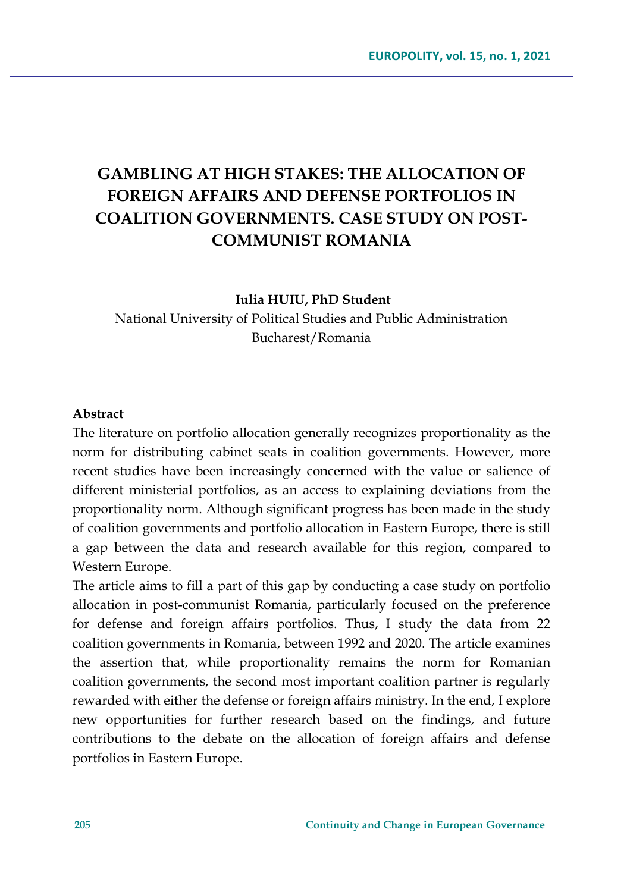# **GAMBLING AT HIGH STAKES: THE ALLOCATION OF FOREIGN AFFAIRS AND DEFENSE PORTFOLIOS IN COALITION GOVERNMENTS. CASE STUDY ON POST-COMMUNIST ROMANIA**

#### **Iulia HUIU, PhD Student**

National University of Political Studies and Public Administration Bucharest/Romania

#### **Abstract**

The literature on portfolio allocation generally recognizes proportionality as the norm for distributing cabinet seats in coalition governments. However, more recent studies have been increasingly concerned with the value or salience of different ministerial portfolios, as an access to explaining deviations from the proportionality norm. Although significant progress has been made in the study of coalition governments and portfolio allocation in Eastern Europe, there is still a gap between the data and research available for this region, compared to Western Europe.

The article aims to fill a part of this gap by conducting a case study on portfolio allocation in post-communist Romania, particularly focused on the preference for defense and foreign affairs portfolios. Thus, I study the data from 22 coalition governments in Romania, between 1992 and 2020. The article examines the assertion that, while proportionality remains the norm for Romanian coalition governments, the second most important coalition partner is regularly rewarded with either the defense or foreign affairs ministry. In the end, I explore new opportunities for further research based on the findings, and future contributions to the debate on the allocation of foreign affairs and defense portfolios in Eastern Europe.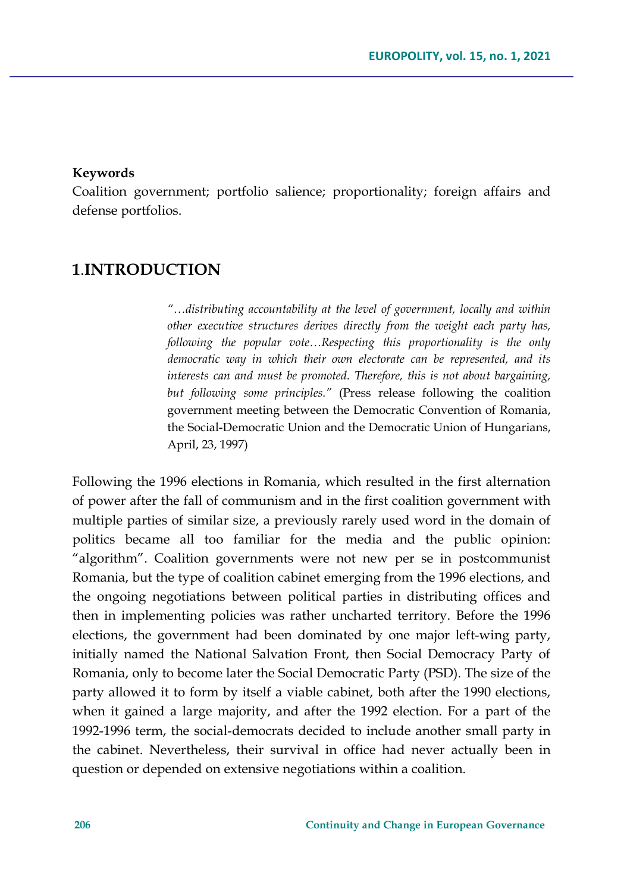#### **Keywords**

Coalition government; portfolio salience; proportionality; foreign affairs and defense portfolios.

## **1**.**INTRODUCTION**

*"…distributing accountability at the level of government, locally and within other executive structures derives directly from the weight each party has, following the popular vote…Respecting this proportionality is the only democratic way in which their own electorate can be represented, and its interests can and must be promoted. Therefore, this is not about bargaining, but following some principles."* (Press release following the coalition government meeting between the Democratic Convention of Romania, the Social-Democratic Union and the Democratic Union of Hungarians, April, 23, 1997)

Following the 1996 elections in Romania, which resulted in the first alternation of power after the fall of communism and in the first coalition government with multiple parties of similar size, a previously rarely used word in the domain of politics became all too familiar for the media and the public opinion: "algorithm". Coalition governments were not new per se in postcommunist Romania, but the type of coalition cabinet emerging from the 1996 elections, and the ongoing negotiations between political parties in distributing offices and then in implementing policies was rather uncharted territory. Before the 1996 elections, the government had been dominated by one major left-wing party, initially named the National Salvation Front, then Social Democracy Party of Romania, only to become later the Social Democratic Party (PSD). The size of the party allowed it to form by itself a viable cabinet, both after the 1990 elections, when it gained a large majority, and after the 1992 election. For a part of the 1992-1996 term, the social-democrats decided to include another small party in the cabinet. Nevertheless, their survival in office had never actually been in question or depended on extensive negotiations within a coalition.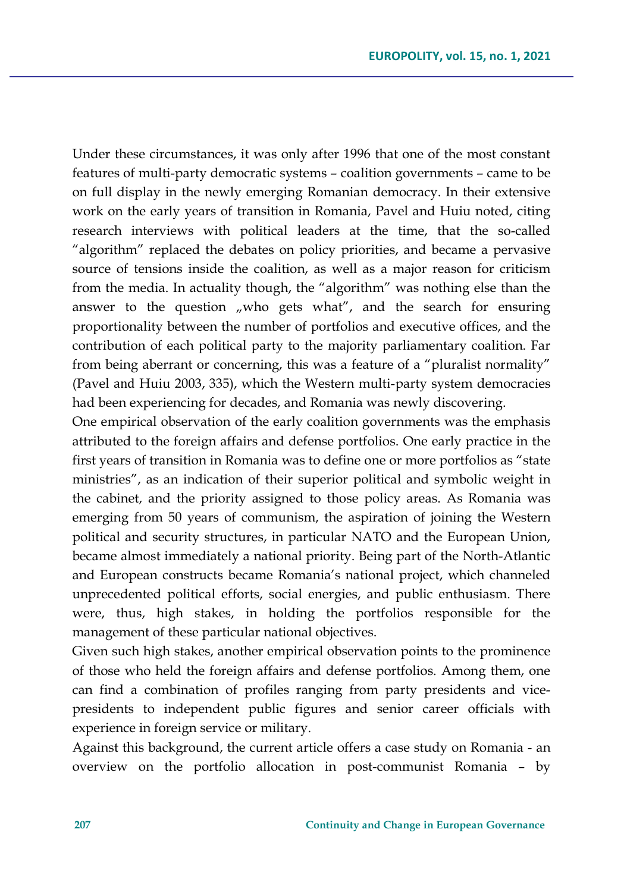Under these circumstances, it was only after 1996 that one of the most constant features of multi-party democratic systems – coalition governments – came to be on full display in the newly emerging Romanian democracy. In their extensive work on the early years of transition in Romania, Pavel and Huiu noted, citing research interviews with political leaders at the time, that the so-called "algorithm" replaced the debates on policy priorities, and became a pervasive source of tensions inside the coalition, as well as a major reason for criticism from the media. In actuality though, the "algorithm" was nothing else than the answer to the question  $\mu$  who gets what", and the search for ensuring proportionality between the number of portfolios and executive offices, and the contribution of each political party to the majority parliamentary coalition. Far from being aberrant or concerning, this was a feature of a "pluralist normality" (Pavel and Huiu 2003, 335), which the Western multi-party system democracies had been experiencing for decades, and Romania was newly discovering.

One empirical observation of the early coalition governments was the emphasis attributed to the foreign affairs and defense portfolios. One early practice in the first years of transition in Romania was to define one or more portfolios as "state ministries", as an indication of their superior political and symbolic weight in the cabinet, and the priority assigned to those policy areas. As Romania was emerging from 50 years of communism, the aspiration of joining the Western political and security structures, in particular NATO and the European Union, became almost immediately a national priority. Being part of the North-Atlantic and European constructs became Romania's national project, which channeled unprecedented political efforts, social energies, and public enthusiasm. There were, thus, high stakes, in holding the portfolios responsible for the management of these particular national objectives.

Given such high stakes, another empirical observation points to the prominence of those who held the foreign affairs and defense portfolios. Among them, one can find a combination of profiles ranging from party presidents and vicepresidents to independent public figures and senior career officials with experience in foreign service or military.

Against this background, the current article offers a case study on Romania - an overview on the portfolio allocation in post-communist Romania – by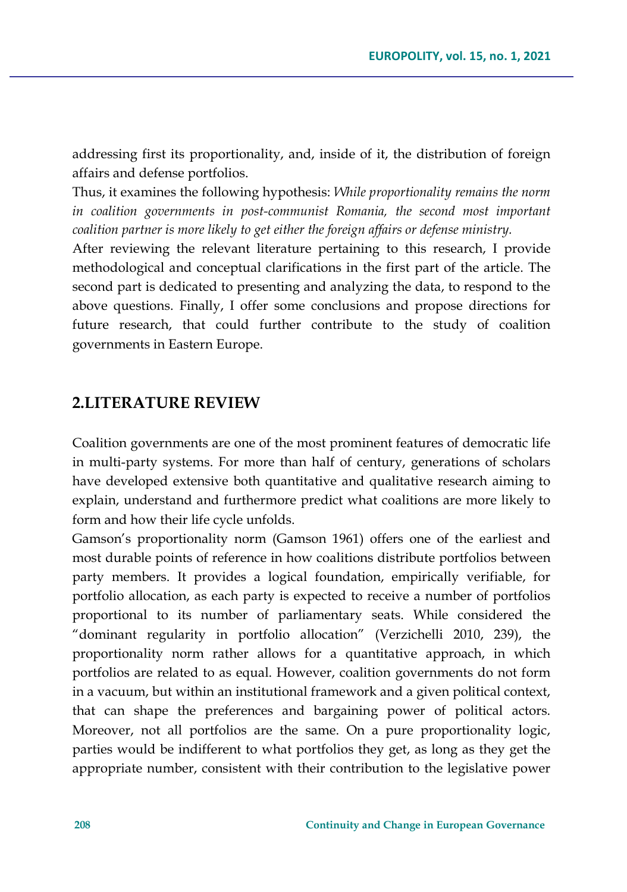addressing first its proportionality, and, inside of it, the distribution of foreign affairs and defense portfolios.

Thus, it examines the following hypothesis: *While proportionality remains the norm in coalition governments in post-communist Romania, the second most important coalition partner is more likely to get either the foreign affairs or defense ministry.* 

After reviewing the relevant literature pertaining to this research, I provide methodological and conceptual clarifications in the first part of the article. The second part is dedicated to presenting and analyzing the data, to respond to the above questions. Finally, I offer some conclusions and propose directions for future research, that could further contribute to the study of coalition governments in Eastern Europe.

## **2.LITERATURE REVIEW**

Coalition governments are one of the most prominent features of democratic life in multi-party systems. For more than half of century, generations of scholars have developed extensive both quantitative and qualitative research aiming to explain, understand and furthermore predict what coalitions are more likely to form and how their life cycle unfolds.

Gamson's proportionality norm (Gamson 1961) offers one of the earliest and most durable points of reference in how coalitions distribute portfolios between party members. It provides a logical foundation, empirically verifiable, for portfolio allocation, as each party is expected to receive a number of portfolios proportional to its number of parliamentary seats. While considered the "dominant regularity in portfolio allocation" (Verzichelli 2010, 239), the proportionality norm rather allows for a quantitative approach, in which portfolios are related to as equal. However, coalition governments do not form in a vacuum, but within an institutional framework and a given political context, that can shape the preferences and bargaining power of political actors. Moreover, not all portfolios are the same. On a pure proportionality logic, parties would be indifferent to what portfolios they get, as long as they get the appropriate number, consistent with their contribution to the legislative power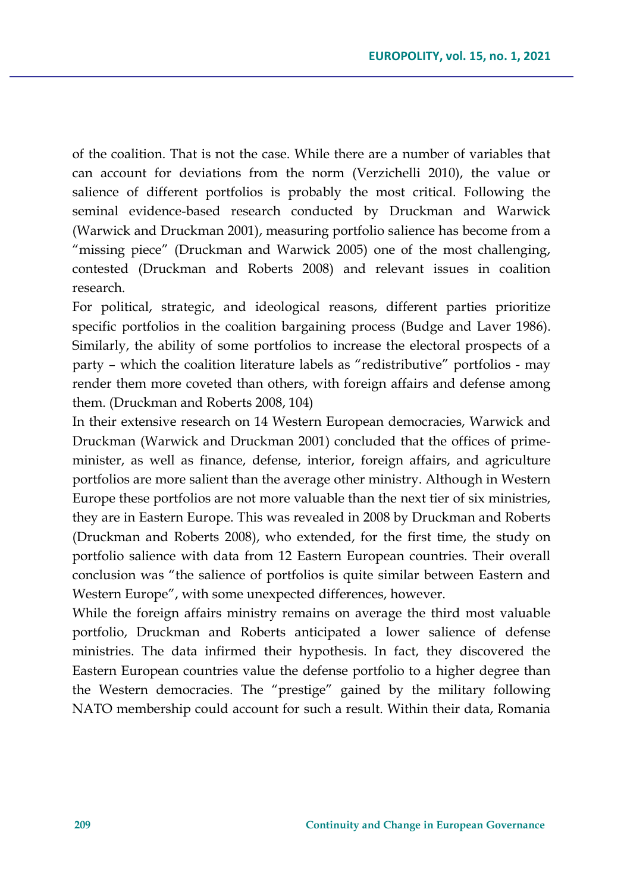of the coalition. That is not the case. While there are a number of variables that can account for deviations from the norm (Verzichelli 2010), the value or salience of different portfolios is probably the most critical. Following the seminal evidence-based research conducted by Druckman and Warwick (Warwick and Druckman 2001), measuring portfolio salience has become from a "missing piece" (Druckman and Warwick 2005) one of the most challenging, contested (Druckman and Roberts 2008) and relevant issues in coalition research.

For political, strategic, and ideological reasons, different parties prioritize specific portfolios in the coalition bargaining process (Budge and Laver 1986). Similarly, the ability of some portfolios to increase the electoral prospects of a party – which the coalition literature labels as "redistributive" portfolios - may render them more coveted than others, with foreign affairs and defense among them. (Druckman and Roberts 2008, 104)

In their extensive research on 14 Western European democracies, Warwick and Druckman (Warwick and Druckman 2001) concluded that the offices of primeminister, as well as finance, defense, interior, foreign affairs, and agriculture portfolios are more salient than the average other ministry. Although in Western Europe these portfolios are not more valuable than the next tier of six ministries, they are in Eastern Europe. This was revealed in 2008 by Druckman and Roberts (Druckman and Roberts 2008), who extended, for the first time, the study on portfolio salience with data from 12 Eastern European countries. Their overall conclusion was "the salience of portfolios is quite similar between Eastern and Western Europe", with some unexpected differences, however.

While the foreign affairs ministry remains on average the third most valuable portfolio, Druckman and Roberts anticipated a lower salience of defense ministries. The data infirmed their hypothesis. In fact, they discovered the Eastern European countries value the defense portfolio to a higher degree than the Western democracies. The "prestige" gained by the military following NATO membership could account for such a result. Within their data, Romania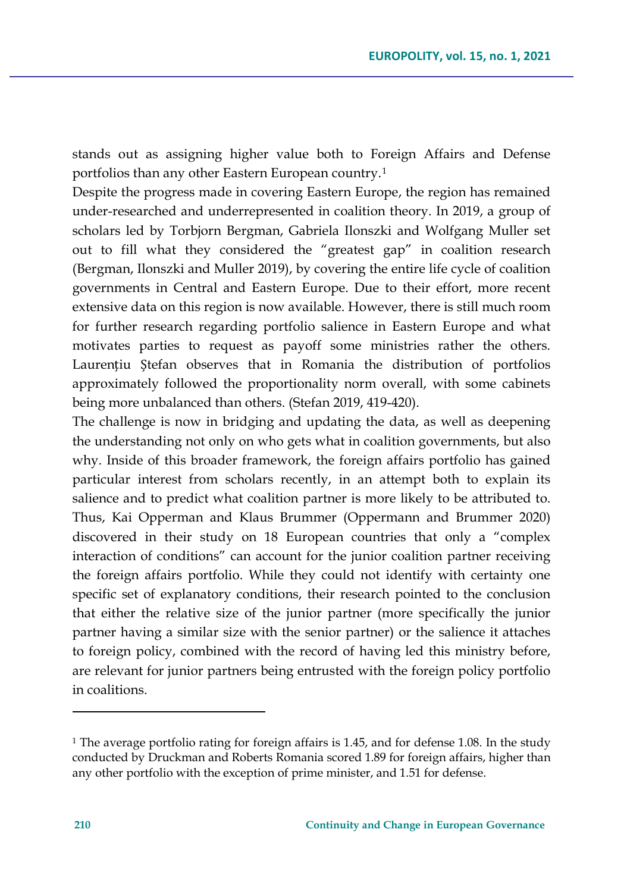stands out as assigning higher value both to Foreign Affairs and Defense portfolios than any other Eastern European country.[1](#page-5-0)

Despite the progress made in covering Eastern Europe, the region has remained under-researched and underrepresented in coalition theory. In 2019, a group of scholars led by Torbjorn Bergman, Gabriela Ilonszki and Wolfgang Muller set out to fill what they considered the "greatest gap" in coalition research (Bergman, Ilonszki and Muller 2019), by covering the entire life cycle of coalition governments in Central and Eastern Europe. Due to their effort, more recent extensive data on this region is now available. However, there is still much room for further research regarding portfolio salience in Eastern Europe and what motivates parties to request as payoff some ministries rather the others. Laurențiu Ștefan observes that in Romania the distribution of portfolios approximately followed the proportionality norm overall, with some cabinets being more unbalanced than others. (Stefan 2019, 419-420).

The challenge is now in bridging and updating the data, as well as deepening the understanding not only on who gets what in coalition governments, but also why. Inside of this broader framework, the foreign affairs portfolio has gained particular interest from scholars recently, in an attempt both to explain its salience and to predict what coalition partner is more likely to be attributed to. Thus, Kai Opperman and Klaus Brummer (Oppermann and Brummer 2020) discovered in their study on 18 European countries that only a "complex interaction of conditions" can account for the junior coalition partner receiving the foreign affairs portfolio. While they could not identify with certainty one specific set of explanatory conditions, their research pointed to the conclusion that either the relative size of the junior partner (more specifically the junior partner having a similar size with the senior partner) or the salience it attaches to foreign policy, combined with the record of having led this ministry before, are relevant for junior partners being entrusted with the foreign policy portfolio in coalitions.

<span id="page-5-0"></span><sup>1</sup> The average portfolio rating for foreign affairs is 1.45, and for defense 1.08. In the study conducted by Druckman and Roberts Romania scored 1.89 for foreign affairs, higher than any other portfolio with the exception of prime minister, and 1.51 for defense.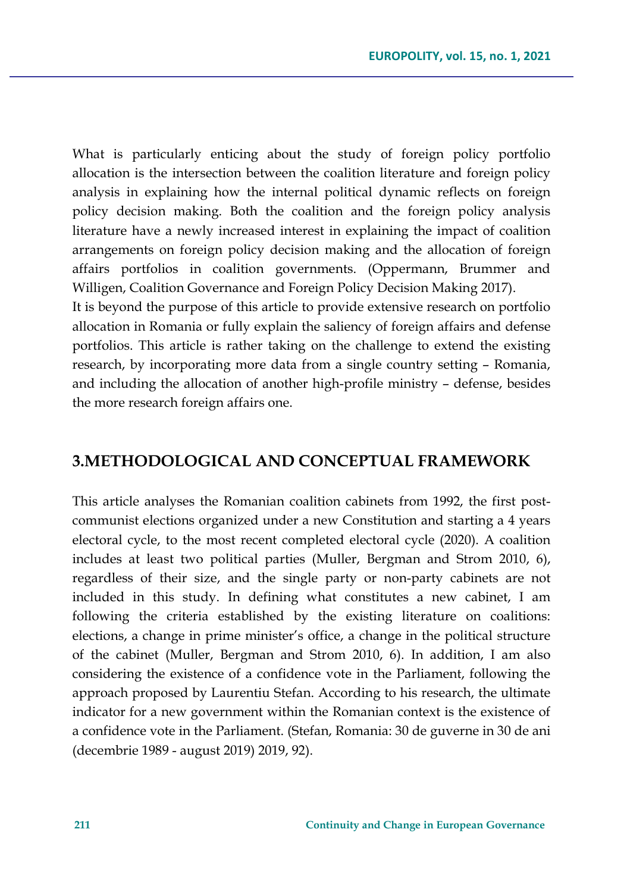What is particularly enticing about the study of foreign policy portfolio allocation is the intersection between the coalition literature and foreign policy analysis in explaining how the internal political dynamic reflects on foreign policy decision making. Both the coalition and the foreign policy analysis literature have a newly increased interest in explaining the impact of coalition arrangements on foreign policy decision making and the allocation of foreign affairs portfolios in coalition governments. (Oppermann, Brummer and Willigen, Coalition Governance and Foreign Policy Decision Making 2017).

It is beyond the purpose of this article to provide extensive research on portfolio allocation in Romania or fully explain the saliency of foreign affairs and defense portfolios. This article is rather taking on the challenge to extend the existing research, by incorporating more data from a single country setting – Romania, and including the allocation of another high-profile ministry – defense, besides the more research foreign affairs one.

### **3.METHODOLOGICAL AND CONCEPTUAL FRAMEWORK**

This article analyses the Romanian coalition cabinets from 1992, the first postcommunist elections organized under a new Constitution and starting a 4 years electoral cycle, to the most recent completed electoral cycle (2020). A coalition includes at least two political parties (Muller, Bergman and Strom 2010, 6), regardless of their size, and the single party or non-party cabinets are not included in this study. In defining what constitutes a new cabinet, I am following the criteria established by the existing literature on coalitions: elections, a change in prime minister's office, a change in the political structure of the cabinet (Muller, Bergman and Strom 2010, 6). In addition, I am also considering the existence of a confidence vote in the Parliament, following the approach proposed by Laurentiu Stefan. According to his research, the ultimate indicator for a new government within the Romanian context is the existence of a confidence vote in the Parliament. (Stefan, Romania: 30 de guverne in 30 de ani (decembrie 1989 - august 2019) 2019, 92).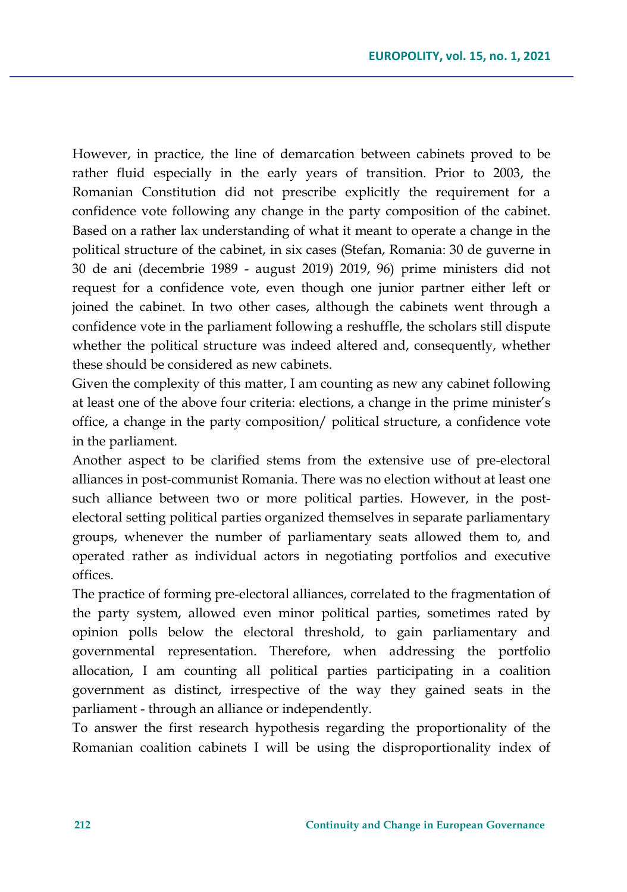However, in practice, the line of demarcation between cabinets proved to be rather fluid especially in the early years of transition. Prior to 2003, the Romanian Constitution did not prescribe explicitly the requirement for a confidence vote following any change in the party composition of the cabinet. Based on a rather lax understanding of what it meant to operate a change in the political structure of the cabinet, in six cases (Stefan, Romania: 30 de guverne in 30 de ani (decembrie 1989 - august 2019) 2019, 96) prime ministers did not request for a confidence vote, even though one junior partner either left or joined the cabinet. In two other cases, although the cabinets went through a confidence vote in the parliament following a reshuffle, the scholars still dispute whether the political structure was indeed altered and, consequently, whether these should be considered as new cabinets.

Given the complexity of this matter, I am counting as new any cabinet following at least one of the above four criteria: elections, a change in the prime minister's office, a change in the party composition/ political structure, a confidence vote in the parliament.

Another aspect to be clarified stems from the extensive use of pre-electoral alliances in post-communist Romania. There was no election without at least one such alliance between two or more political parties. However, in the postelectoral setting political parties organized themselves in separate parliamentary groups, whenever the number of parliamentary seats allowed them to, and operated rather as individual actors in negotiating portfolios and executive offices.

The practice of forming pre-electoral alliances, correlated to the fragmentation of the party system, allowed even minor political parties, sometimes rated by opinion polls below the electoral threshold, to gain parliamentary and governmental representation. Therefore, when addressing the portfolio allocation, I am counting all political parties participating in a coalition government as distinct, irrespective of the way they gained seats in the parliament - through an alliance or independently.

To answer the first research hypothesis regarding the proportionality of the Romanian coalition cabinets I will be using the disproportionality index of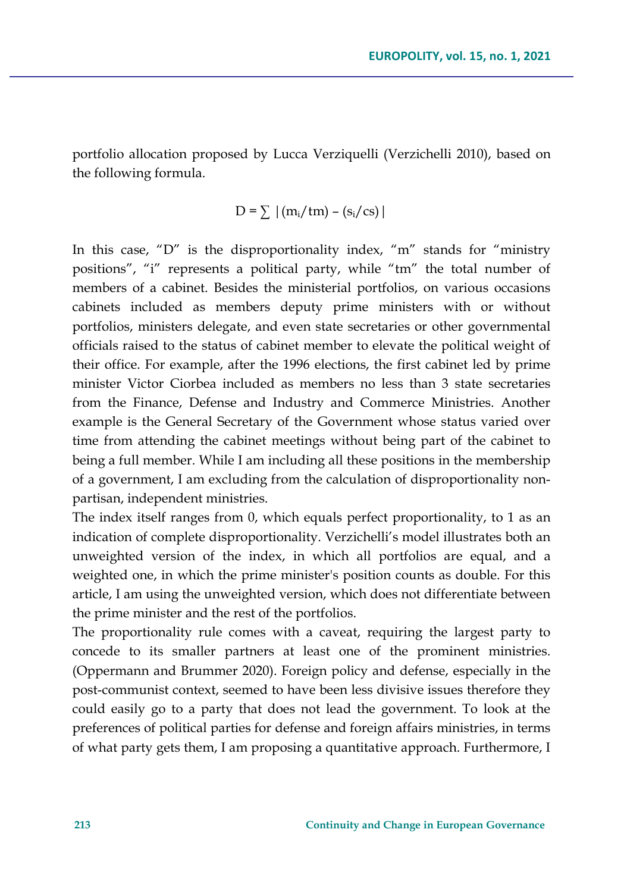portfolio allocation proposed by Lucca Verziquelli (Verzichelli 2010), based on the following formula.

$$
D = \sum |(m_i / tm) - (s_i / cs)|
$$

In this case, "D" is the disproportionality index, "m" stands for "ministry positions", "i" represents a political party, while "tm" the total number of members of a cabinet. Besides the ministerial portfolios, on various occasions cabinets included as members deputy prime ministers with or without portfolios, ministers delegate, and even state secretaries or other governmental officials raised to the status of cabinet member to elevate the political weight of their office. For example, after the 1996 elections, the first cabinet led by prime minister Victor Ciorbea included as members no less than 3 state secretaries from the Finance, Defense and Industry and Commerce Ministries. Another example is the General Secretary of the Government whose status varied over time from attending the cabinet meetings without being part of the cabinet to being a full member. While I am including all these positions in the membership of a government, I am excluding from the calculation of disproportionality nonpartisan, independent ministries.

The index itself ranges from 0, which equals perfect proportionality, to 1 as an indication of complete disproportionality. Verzichelli's model illustrates both an unweighted version of the index, in which all portfolios are equal, and a weighted one, in which the prime minister's position counts as double. For this article, I am using the unweighted version, which does not differentiate between the prime minister and the rest of the portfolios.

The proportionality rule comes with a caveat, requiring the largest party to concede to its smaller partners at least one of the prominent ministries. (Oppermann and Brummer 2020). Foreign policy and defense, especially in the post-communist context, seemed to have been less divisive issues therefore they could easily go to a party that does not lead the government. To look at the preferences of political parties for defense and foreign affairs ministries, in terms of what party gets them, I am proposing a quantitative approach. Furthermore, I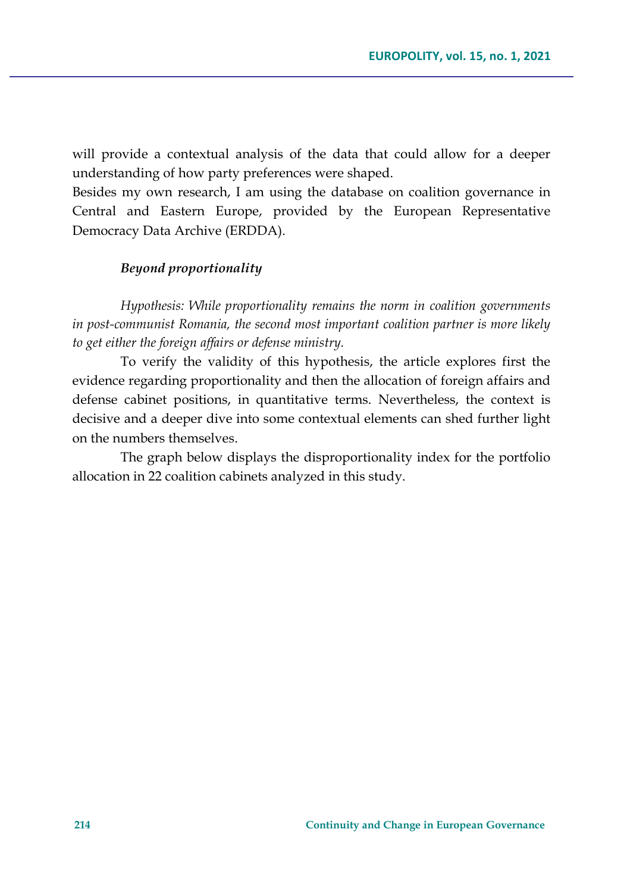will provide a contextual analysis of the data that could allow for a deeper understanding of how party preferences were shaped.

Besides my own research, I am using the database on coalition governance in Central and Eastern Europe, provided by the European Representative Democracy Data Archive (ERDDA).

### *Beyond proportionality*

*Hypothesis: While proportionality remains the norm in coalition governments in post-communist Romania, the second most important coalition partner is more likely to get either the foreign affairs or defense ministry.* 

To verify the validity of this hypothesis, the article explores first the evidence regarding proportionality and then the allocation of foreign affairs and defense cabinet positions, in quantitative terms. Nevertheless, the context is decisive and a deeper dive into some contextual elements can shed further light on the numbers themselves.

The graph below displays the disproportionality index for the portfolio allocation in 22 coalition cabinets analyzed in this study.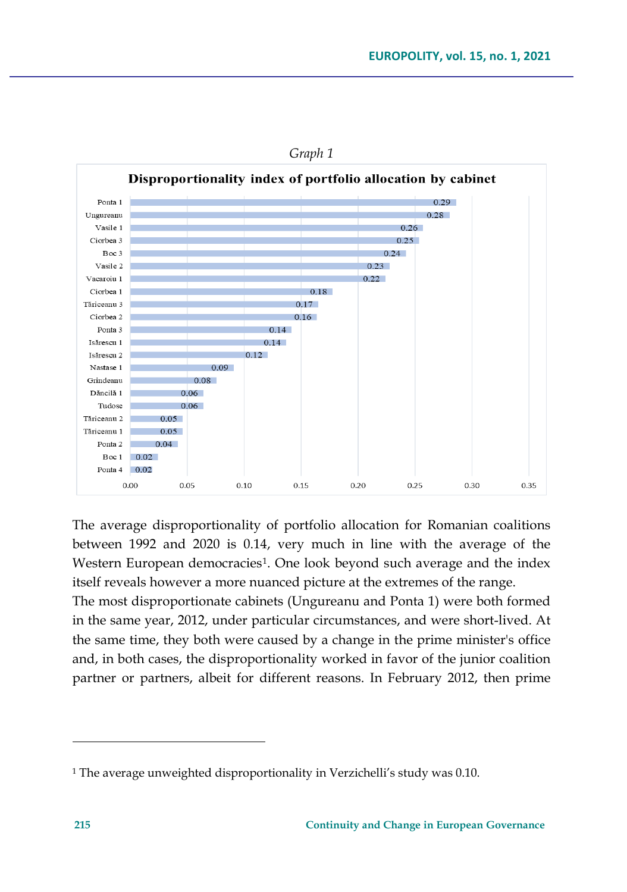

*Graph 1*

The average disproportionality of portfolio allocation for Romanian coalitions between 1992 and 2020 is 0.14, very much in line with the average of the Western European democracies<sup>[1](#page-10-0)</sup>. One look beyond such average and the index itself reveals however a more nuanced picture at the extremes of the range.

The most disproportionate cabinets (Ungureanu and Ponta 1) were both formed in the same year, 2012, under particular circumstances, and were short-lived. At the same time, they both were caused by a change in the prime minister's office and, in both cases, the disproportionality worked in favor of the junior coalition partner or partners, albeit for different reasons. In February 2012, then prime

<span id="page-10-0"></span><sup>&</sup>lt;sup>1</sup> The average unweighted disproportionality in Verzichelli's study was 0.10.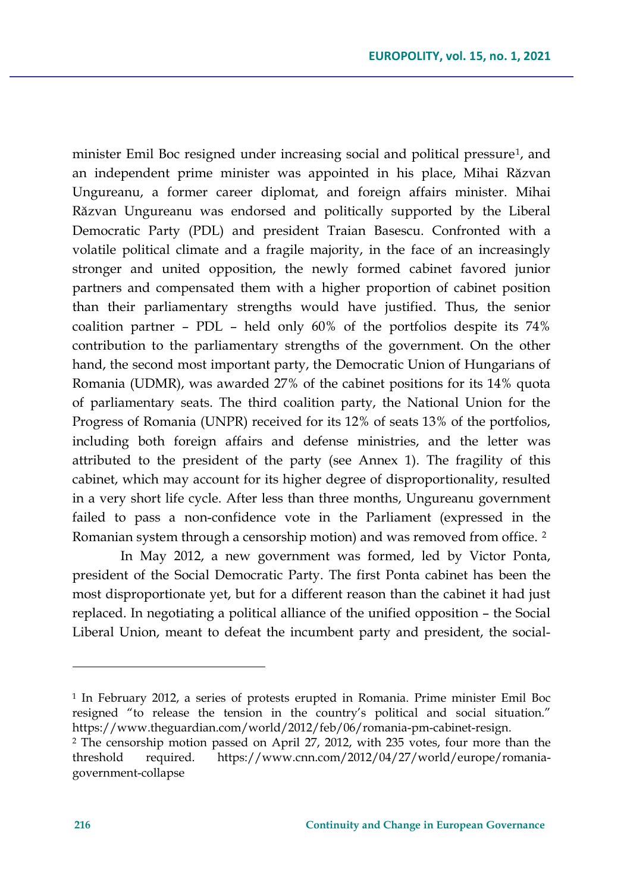minister Emil Boc resigned under increasing social and political pressure<sup>[1](#page-11-0)</sup>, and an independent prime minister was appointed in his place, Mihai Răzvan Ungureanu, a former career diplomat, and foreign affairs minister. Mihai Răzvan Ungureanu was endorsed and politically supported by the Liberal Democratic Party (PDL) and president Traian Basescu. Confronted with a volatile political climate and a fragile majority, in the face of an increasingly stronger and united opposition, the newly formed cabinet favored junior partners and compensated them with a higher proportion of cabinet position than their parliamentary strengths would have justified. Thus, the senior coalition partner – PDL – held only 60% of the portfolios despite its 74% contribution to the parliamentary strengths of the government. On the other hand, the second most important party, the Democratic Union of Hungarians of Romania (UDMR), was awarded 27% of the cabinet positions for its 14% quota of parliamentary seats. The third coalition party, the National Union for the Progress of Romania (UNPR) received for its 12% of seats 13% of the portfolios, including both foreign affairs and defense ministries, and the letter was attributed to the president of the party (see Annex 1). The fragility of this cabinet, which may account for its higher degree of disproportionality, resulted in a very short life cycle. After less than three months, Ungureanu government failed to pass a non-confidence vote in the Parliament (expressed in the Romanian system through a censorship motion) and was removed from office. <sup>[2](#page-11-1)</sup>

In May 2012, a new government was formed, led by Victor Ponta, president of the Social Democratic Party. The first Ponta cabinet has been the most disproportionate yet, but for a different reason than the cabinet it had just replaced. In negotiating a political alliance of the unified opposition – the Social Liberal Union, meant to defeat the incumbent party and president, the social-

<span id="page-11-0"></span><sup>1</sup> In February 2012, a series of protests erupted in Romania. Prime minister Emil Boc resigned "to release the tension in the country's political and social situation." https://www.theguardian.com/world/2012/feb/06/romania-pm-cabinet-resign.

<span id="page-11-1"></span><sup>2</sup> The censorship motion passed on April 27, 2012, with 235 votes, four more than the threshold required. https://www.cnn.com/2012/04/27/world/europe/romaniagovernment-collapse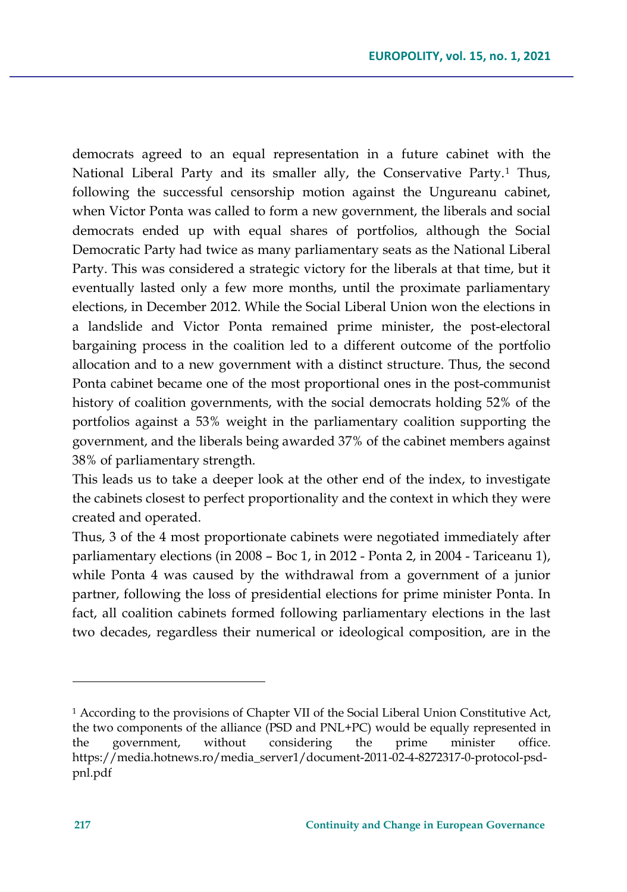democrats agreed to an equal representation in a future cabinet with the National Liberal Party and its smaller ally, the Conservative Party.<sup>[1](#page-12-0)</sup> Thus, following the successful censorship motion against the Ungureanu cabinet, when Victor Ponta was called to form a new government, the liberals and social democrats ended up with equal shares of portfolios, although the Social Democratic Party had twice as many parliamentary seats as the National Liberal Party. This was considered a strategic victory for the liberals at that time, but it eventually lasted only a few more months, until the proximate parliamentary elections, in December 2012. While the Social Liberal Union won the elections in a landslide and Victor Ponta remained prime minister, the post-electoral bargaining process in the coalition led to a different outcome of the portfolio allocation and to a new government with a distinct structure. Thus, the second Ponta cabinet became one of the most proportional ones in the post-communist history of coalition governments, with the social democrats holding 52% of the portfolios against a 53% weight in the parliamentary coalition supporting the government, and the liberals being awarded 37% of the cabinet members against 38% of parliamentary strength.

This leads us to take a deeper look at the other end of the index, to investigate the cabinets closest to perfect proportionality and the context in which they were created and operated.

Thus, 3 of the 4 most proportionate cabinets were negotiated immediately after parliamentary elections (in 2008 – Boc 1, in 2012 - Ponta 2, in 2004 - Tariceanu 1), while Ponta 4 was caused by the withdrawal from a government of a junior partner, following the loss of presidential elections for prime minister Ponta. In fact, all coalition cabinets formed following parliamentary elections in the last two decades, regardless their numerical or ideological composition, are in the

<span id="page-12-0"></span><sup>1</sup> According to the provisions of Chapter VII of the Social Liberal Union Constitutive Act, the two components of the alliance (PSD and PNL+PC) would be equally represented in the government, without considering the prime minister office. https://media.hotnews.ro/media\_server1/document-2011-02-4-8272317-0-protocol-psdpnl.pdf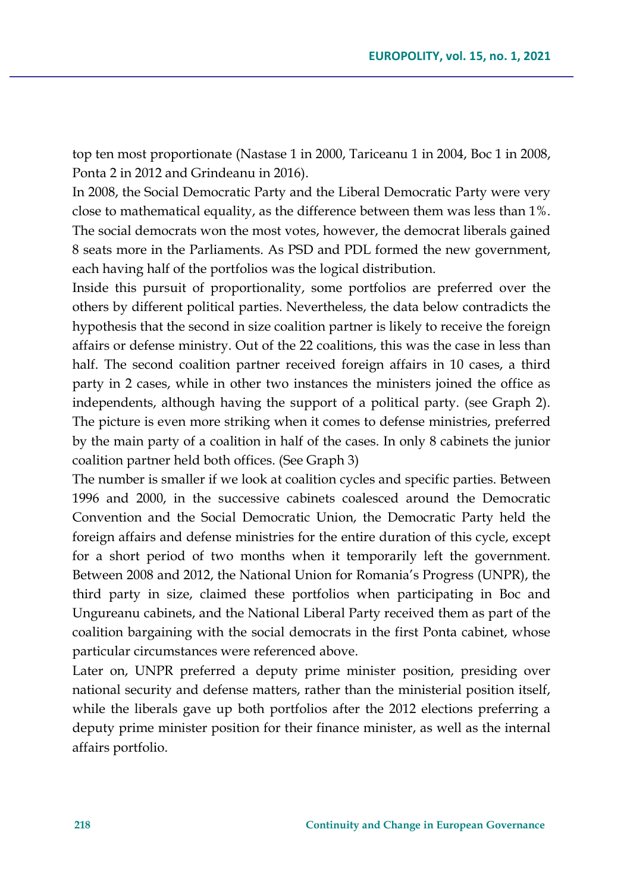top ten most proportionate (Nastase 1 in 2000, Tariceanu 1 in 2004, Boc 1 in 2008, Ponta 2 in 2012 and Grindeanu in 2016).

In 2008, the Social Democratic Party and the Liberal Democratic Party were very close to mathematical equality, as the difference between them was less than 1%. The social democrats won the most votes, however, the democrat liberals gained 8 seats more in the Parliaments. As PSD and PDL formed the new government, each having half of the portfolios was the logical distribution.

Inside this pursuit of proportionality, some portfolios are preferred over the others by different political parties. Nevertheless, the data below contradicts the hypothesis that the second in size coalition partner is likely to receive the foreign affairs or defense ministry. Out of the 22 coalitions, this was the case in less than half. The second coalition partner received foreign affairs in 10 cases, a third party in 2 cases, while in other two instances the ministers joined the office as independents, although having the support of a political party. (see Graph 2). The picture is even more striking when it comes to defense ministries, preferred by the main party of a coalition in half of the cases. In only 8 cabinets the junior coalition partner held both offices. (See Graph 3)

The number is smaller if we look at coalition cycles and specific parties. Between 1996 and 2000, in the successive cabinets coalesced around the Democratic Convention and the Social Democratic Union, the Democratic Party held the foreign affairs and defense ministries for the entire duration of this cycle, except for a short period of two months when it temporarily left the government. Between 2008 and 2012, the National Union for Romania's Progress (UNPR), the third party in size, claimed these portfolios when participating in Boc and Ungureanu cabinets, and the National Liberal Party received them as part of the coalition bargaining with the social democrats in the first Ponta cabinet, whose particular circumstances were referenced above.

Later on, UNPR preferred a deputy prime minister position, presiding over national security and defense matters, rather than the ministerial position itself, while the liberals gave up both portfolios after the 2012 elections preferring a deputy prime minister position for their finance minister, as well as the internal affairs portfolio.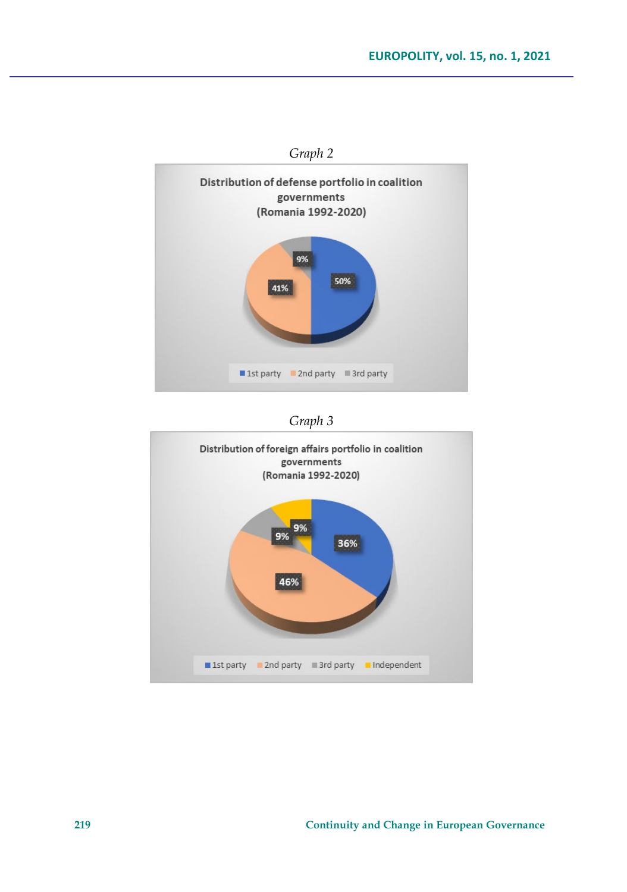

*Graph 3*

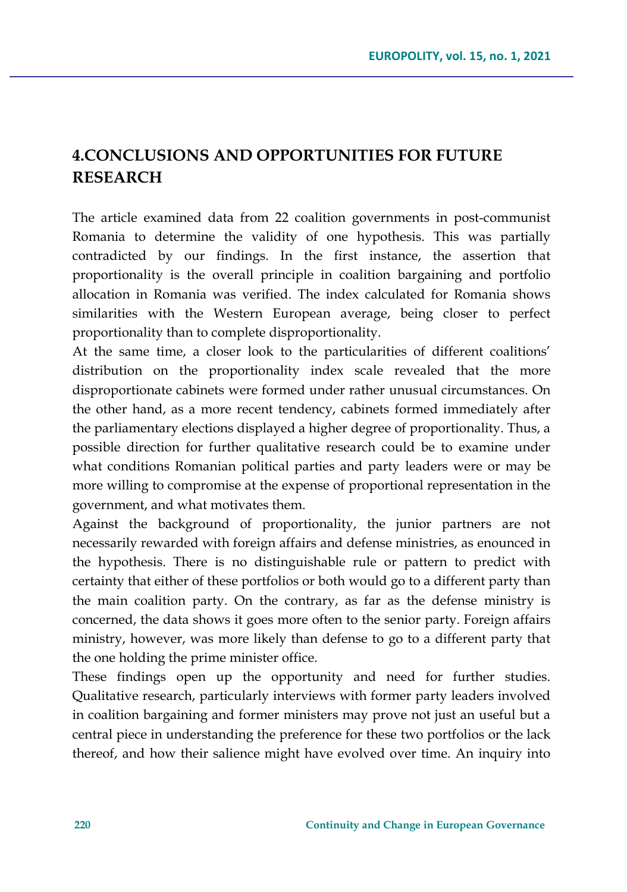# **4.CONCLUSIONS AND OPPORTUNITIES FOR FUTURE RESEARCH**

The article examined data from 22 coalition governments in post-communist Romania to determine the validity of one hypothesis. This was partially contradicted by our findings. In the first instance, the assertion that proportionality is the overall principle in coalition bargaining and portfolio allocation in Romania was verified. The index calculated for Romania shows similarities with the Western European average, being closer to perfect proportionality than to complete disproportionality.

At the same time, a closer look to the particularities of different coalitions' distribution on the proportionality index scale revealed that the more disproportionate cabinets were formed under rather unusual circumstances. On the other hand, as a more recent tendency, cabinets formed immediately after the parliamentary elections displayed a higher degree of proportionality. Thus, a possible direction for further qualitative research could be to examine under what conditions Romanian political parties and party leaders were or may be more willing to compromise at the expense of proportional representation in the government, and what motivates them.

Against the background of proportionality, the junior partners are not necessarily rewarded with foreign affairs and defense ministries, as enounced in the hypothesis. There is no distinguishable rule or pattern to predict with certainty that either of these portfolios or both would go to a different party than the main coalition party. On the contrary, as far as the defense ministry is concerned, the data shows it goes more often to the senior party. Foreign affairs ministry, however, was more likely than defense to go to a different party that the one holding the prime minister office.

These findings open up the opportunity and need for further studies. Qualitative research, particularly interviews with former party leaders involved in coalition bargaining and former ministers may prove not just an useful but a central piece in understanding the preference for these two portfolios or the lack thereof, and how their salience might have evolved over time. An inquiry into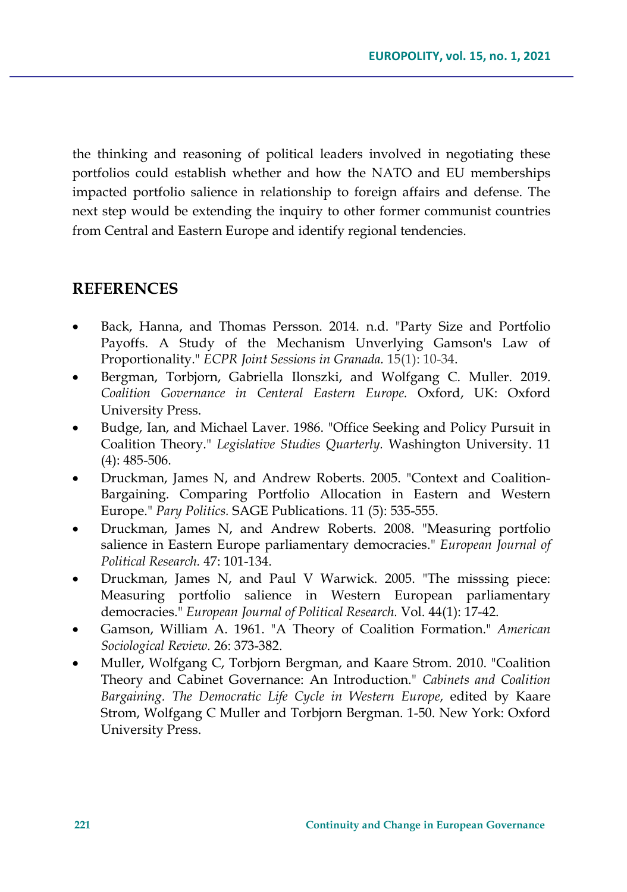the thinking and reasoning of political leaders involved in negotiating these portfolios could establish whether and how the NATO and EU memberships impacted portfolio salience in relationship to foreign affairs and defense. The next step would be extending the inquiry to other former communist countries from Central and Eastern Europe and identify regional tendencies.

## **REFERENCES**

- Back, Hanna, and Thomas Persson. 2014. n.d. "Party Size and Portfolio Payoffs. A Study of the Mechanism Unverlying Gamson's Law of Proportionality." *ECPR Joint Sessions in Granada.* 15(1): 10-34.
- Bergman, Torbjorn, Gabriella Ilonszki, and Wolfgang C. Muller. 2019. *Coalition Governance in Centeral Eastern Europe.* Oxford, UK: Oxford University Press.
- Budge, Ian, and Michael Laver. 1986. "Office Seeking and Policy Pursuit in Coalition Theory." *Legislative Studies Quarterly.* Washington University. 11 (4): 485-506.
- Druckman, James N, and Andrew Roberts. 2005. "Context and Coalition-Bargaining. Comparing Portfolio Allocation in Eastern and Western Europe." *Pary Politics.* SAGE Publications. 11 (5): 535-555.
- Druckman, James N, and Andrew Roberts. 2008. "Measuring portfolio salience in Eastern Europe parliamentary democracies." *European Journal of Political Research.* 47: 101-134.
- Druckman, James N, and Paul V Warwick. 2005. "The misssing piece: Measuring portfolio salience in Western European parliamentary democracies." *European Journal of Political Research.* Vol. 44(1): 17-42.
- Gamson, William A. 1961. "A Theory of Coalition Formation." *American Sociological Review.* 26: 373-382.
- Muller, Wolfgang C, Torbjorn Bergman, and Kaare Strom. 2010. "Coalition Theory and Cabinet Governance: An Introduction." *Cabinets and Coalition Bargaining. The Democratic Life Cycle in Western Europe*, edited by Kaare Strom, Wolfgang C Muller and Torbjorn Bergman. 1-50. New York: Oxford University Press.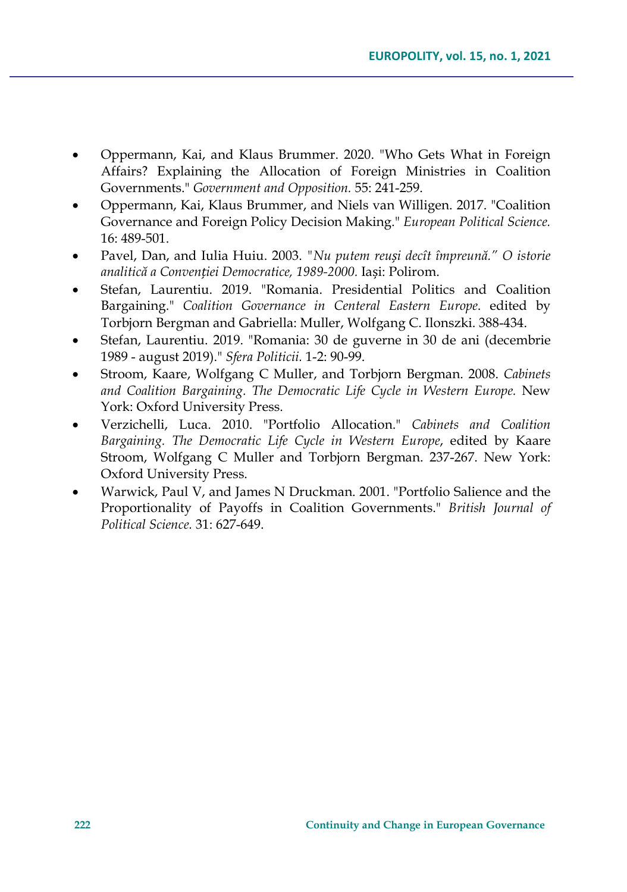- Oppermann, Kai, and Klaus Brummer. 2020. "Who Gets What in Foreign Affairs? Explaining the Allocation of Foreign Ministries in Coalition Governments." *Government and Opposition.* 55: 241-259.
- Oppermann, Kai, Klaus Brummer, and Niels van Willigen. 2017. "Coalition Governance and Foreign Policy Decision Making." *European Political Science.* 16: 489-501.
- Pavel, Dan, and Iulia Huiu. 2003. *"Nu putem reuși decît împreună." O istorie analitică a Convenției Democratice, 1989-2000.* Iași: Polirom.
- Stefan, Laurentiu. 2019. "Romania. Presidential Politics and Coalition Bargaining." *Coalition Governance in Centeral Eastern Europe*. edited by Torbjorn Bergman and Gabriella: Muller, Wolfgang C. Ilonszki. 388-434.
- Stefan, Laurentiu. 2019. "Romania: 30 de guverne in 30 de ani (decembrie 1989 - august 2019)." *Sfera Politicii.* 1-2: 90-99.
- Stroom, Kaare, Wolfgang C Muller, and Torbjorn Bergman. 2008. *Cabinets and Coalition Bargaining. The Democratic Life Cycle in Western Europe.* New York: Oxford University Press.
- Verzichelli, Luca. 2010. "Portfolio Allocation." *Cabinets and Coalition Bargaining. The Democratic Life Cycle in Western Europe*, edited by Kaare Stroom, Wolfgang C Muller and Torbjorn Bergman. 237-267. New York: Oxford University Press.
- Warwick, Paul V, and James N Druckman. 2001. "Portfolio Salience and the Proportionality of Payoffs in Coalition Governments." *British Journal of Political Science.* 31: 627-649.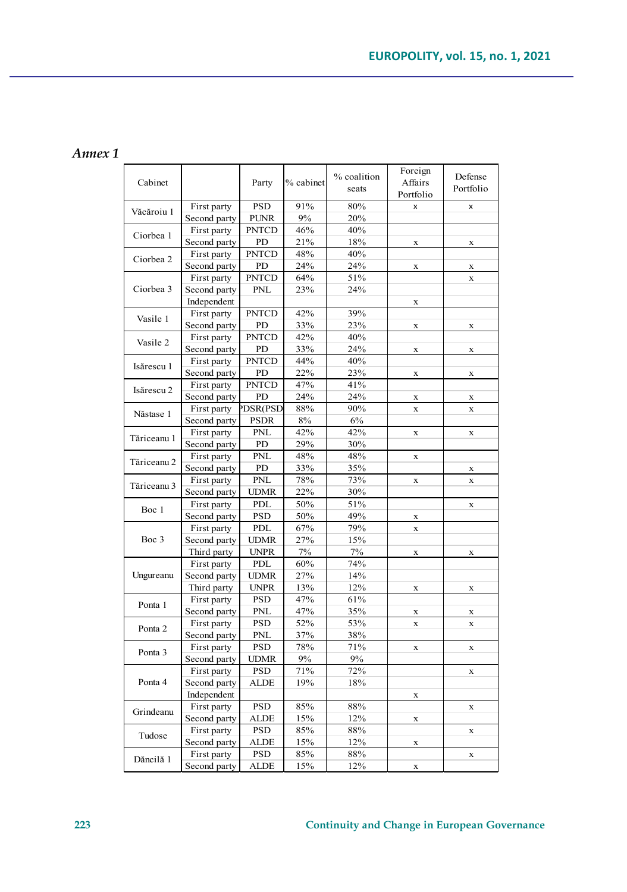#### *Annex 1*

| Cabinet     |              | Party        | % cabinet | % coalition<br>seats | Foreign<br>Affairs<br>Portfolio | Defense<br>Portfolio |
|-------------|--------------|--------------|-----------|----------------------|---------------------------------|----------------------|
| Văcăroiu 1  | First party  | <b>PSD</b>   | 91%       | 80%                  | $\boldsymbol{\mathsf{x}}$       | x                    |
|             | Second party | <b>PUNR</b>  | 9%        | 20%                  |                                 |                      |
| Ciorbea 1   | First party  | <b>PNTCD</b> | 46%       | 40%                  |                                 |                      |
|             | Second party | PD           | 21%       | 18%                  | $\mathbf x$                     | X                    |
| Ciorbea 2   | First party  | <b>PNTCD</b> | 48%       | 40%                  |                                 |                      |
|             | Second party | PD           | 24%       | 24%                  | $\mathbf x$                     | $\mathbf x$          |
| Ciorbea 3   | First party  | <b>PNTCD</b> | 64%       | 51%                  |                                 | $\bar{x}$            |
|             | Second party | <b>PNL</b>   | 23%       | 24%                  |                                 |                      |
|             | Independent  |              |           |                      | $\mathbf x$                     |                      |
| Vasile 1    | First party  | <b>PNTCD</b> | 42%       | 39%                  |                                 |                      |
|             | Second party | PD           | 33%       | 23%                  | $\mathbf x$                     | X                    |
| Vasile 2    | First party  | <b>PNTCD</b> | 42%       | 40%                  |                                 |                      |
|             | Second party | PD           | 33%       | 24%                  | $\mathbf x$                     | $\mathbf x$          |
| Isărescu 1  | First party  | <b>PNTCD</b> | 44%       | 40%                  |                                 |                      |
|             | Second party | PD           | 22%       | 23%                  | x                               | x                    |
| Isărescu 2  | First party  | <b>PNTCD</b> | 47%       | 41%                  |                                 |                      |
|             | Second party | PD           | 24%       | 24%                  | $\mathbf x$                     | $\mathbf x$          |
| Năstase 1   | First party  | PDSR(PSD     | 88%       | 90%                  | $\mathbf x$                     | $\bar{\mathbf{x}}$   |
|             | Second party | <b>PSDR</b>  | 8%        | 6%                   |                                 |                      |
| Tăriceanu 1 | First party  | PNL          | 42%       | 42%                  | $\mathbf x$                     | $\mathbf x$          |
|             | Second party | PD           | 29%       | 30%                  |                                 |                      |
| Tăriceanu 2 | First party  | <b>PNL</b>   | 48%       | 48%                  | x                               |                      |
|             | Second party | PD           | 33%       | 35%                  |                                 | X                    |
| Tăriceanu 3 | First party  | <b>PNL</b>   | 78%       | 73%                  | $\mathbf x$                     | $\mathbf x$          |
|             | Second party | <b>UDMR</b>  | 22%       | 30%                  |                                 |                      |
| Boc 1       | First party  | PDL          | 50%       | 51%                  |                                 | $\mathbf x$          |
|             | Second party | PSD          | 50%       | 49%                  | $\mathbf x$                     |                      |
| Boc 3       | First party  | PDL          | 67%       | 79%                  | $\mathbf x$                     |                      |
|             | Second party | <b>UDMR</b>  | 27%       | 15%                  |                                 |                      |
|             | Third party  | <b>UNPR</b>  | 7%        | 7%                   | $\mathbf x$                     | $\mathbf x$          |
| Ungureanu   | First party  | PDL          | 60%       | 74%                  |                                 |                      |
|             | Second party | UDMR         | 27%       | 14%                  |                                 |                      |
|             | Third party  | <b>UNPR</b>  | 13%       | 12%                  | x                               | x                    |
| Ponta 1     | First party  | <b>PSD</b>   | 47%       | 61%                  |                                 |                      |
|             | Second party | PNL          | 47%       | 35%                  | $\mathbf x$                     | X                    |
| Ponta 2     | First party  | <b>PSD</b>   | 52%       | 53%                  | $\mathbf x$                     | $\mathbf x$          |
|             | Second party | <b>PNL</b>   | 37%       | 38%                  |                                 |                      |
| Ponta 3     | First party  | <b>PSD</b>   | 78%       | 71%                  | $\mathbf x$                     | $\mathbf x$          |
|             | Second party | <b>UDMR</b>  | 9%        | 9%                   |                                 |                      |
| Ponta 4     | First party  | PSD          | 71%       | 72%                  |                                 | $\mathbf x$          |
|             | Second party | ALDE         | 19%       | 18%                  |                                 |                      |
|             | Independent  |              |           |                      | $\mathbf x$                     |                      |
| Grindeanu   | First party  | <b>PSD</b>   | 85%       | 88%                  |                                 | $\mathbf x$          |
|             | Second party | ALDE         | 15%       | 12%                  | $\mathbf x$                     |                      |
| Tudose      | First party  | PSD          | 85%       | $88\%$               |                                 | $\mathbf x$          |
|             | Second party | ALDE         | 15%       | 12%                  | $\mathbf x$                     |                      |
| Dăncilă 1   | First party  | <b>PSD</b>   | 85%       | 88%                  |                                 | $\mathbf x$          |
|             | Second party | <b>ALDE</b>  | 15%       | 12%                  | $\mathbf x$                     |                      |